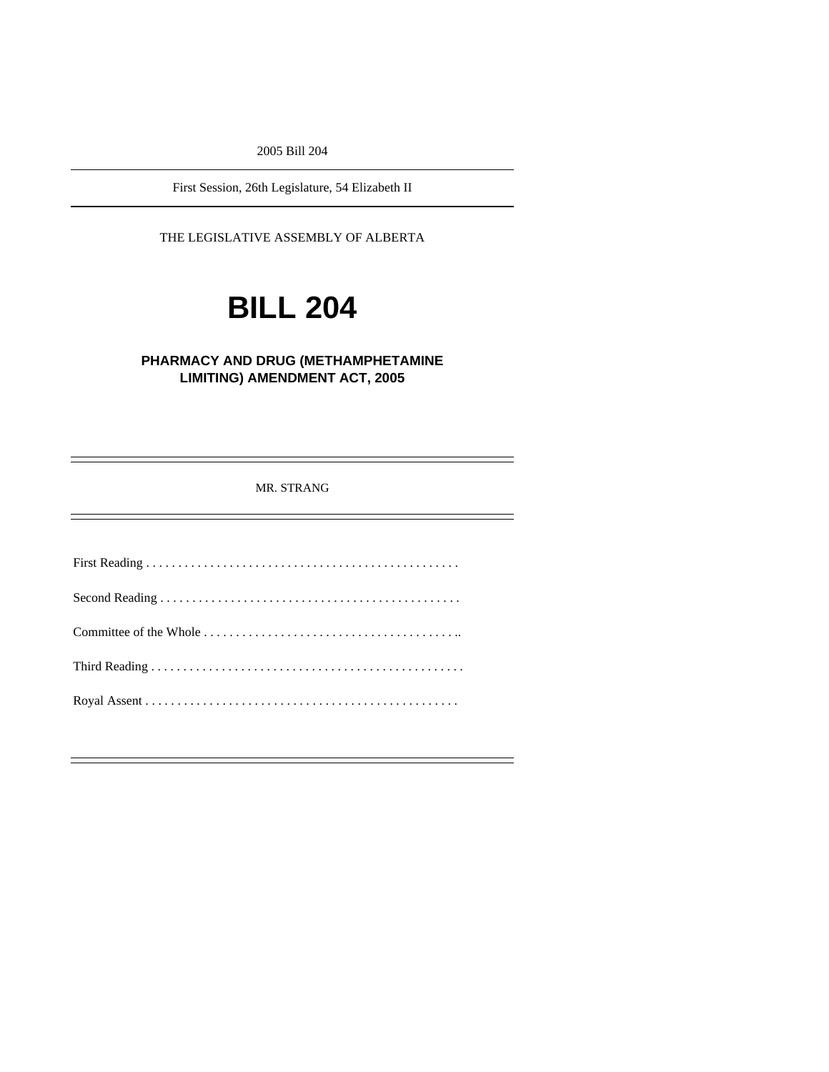2005 Bill 204

First Session, 26th Legislature, 54 Elizabeth II

THE LEGISLATIVE ASSEMBLY OF ALBERTA

# **BILL 204**

# **PHARMACY AND DRUG (METHAMPHETAMINE LIMITING) AMENDMENT ACT, 2005**

MR. STRANG

First Reading . . . . . . . . . . . . . . . . . . . . . . . . . . . . . . . . . . . . . . . . . . . . . . . . . Second Reading . . . . . . . . . . . . . . . . . . . . . . . . . . . . . . . . . . . . . . . . . . . . . . . Committee of the Whole . . . . . . . . . . . . . . . . . . . . . . . . . . . . . . . . . . . . . . . .. Third Reading . . . . . . . . . . . . . . . . . . . . . . . . . . . . . . . . . . . . . . . . . . . . . . . . . Royal Assent . . . . . . . . . . . . . . . . . . . . . . . . . . . . . . . . . . . . . . . . . . . . . . . . .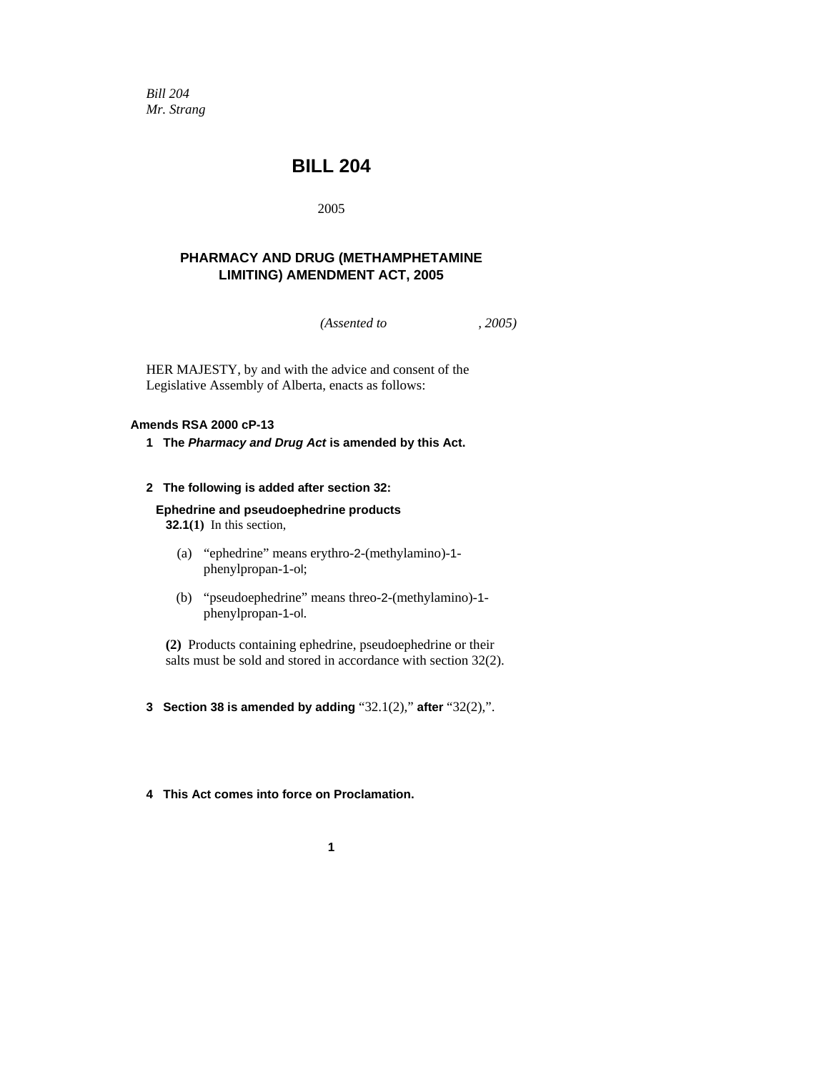*Bill 204 Mr. Strang* 

# **BILL 204**

2005

# **PHARMACY AND DRUG (METHAMPHETAMINE LIMITING) AMENDMENT ACT, 2005**

*(Assented to , 2005)* 

HER MAJESTY, by and with the advice and consent of the Legislative Assembly of Alberta, enacts as follows:

#### **Amends RSA 2000 cP-13**

**1 The** *Pharmacy and Drug Act* **is amended by this Act.** 

#### **2 The following is added after section 32:**

**Ephedrine and pseudoephedrine products 32.1(1)** In this section,

- (a) "ephedrine" means erythro-2-(methylamino)-1 phenylpropan-1-ol;
- (b) "pseudoephedrine" means threo-2-(methylamino)-1 phenylpropan-1-ol.

**(2)** Products containing ephedrine, pseudoephedrine or their salts must be sold and stored in accordance with section 32(2).

- **3 Section 38 is amended by adding** "32.1(2)," **after** "32(2),".
- **4 This Act comes into force on Proclamation.**

**1**